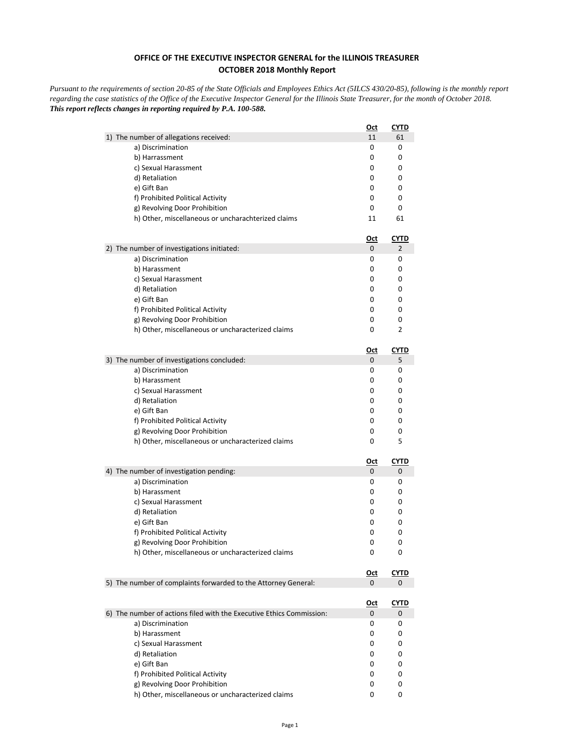## **OFFICE OF THE EXECUTIVE INSPECTOR GENERAL for the ILLINOIS TREASURER OCTOBER 2018 Monthly Report**

*Pursuant to the requirements of section 20-85 of the State Officials and Employees Ethics Act (5ILCS 430/20-85), following is the monthly report regarding the case statistics of the Office of the Executive Inspector General for the Illinois State Treasurer, for the month of October 2018. This report reflects changes in reporting required by P.A. 100-588.*

|                                                                                    | <u>Oct</u> | <u>CYTD</u> |
|------------------------------------------------------------------------------------|------------|-------------|
| 1) The number of allegations received:                                             | 11         | 61          |
| a) Discrimination                                                                  | 0          | 0           |
| b) Harrassment                                                                     | 0          | 0           |
| c) Sexual Harassment                                                               | 0          | 0           |
| d) Retaliation                                                                     | 0          | 0           |
| e) Gift Ban                                                                        | 0          | 0           |
| f) Prohibited Political Activity                                                   | 0          | 0           |
| g) Revolving Door Prohibition                                                      | 0          | 0           |
| h) Other, miscellaneous or uncharachterized claims                                 | 11         | 61          |
|                                                                                    | <u>Oct</u> | <u>CYTD</u> |
| 2) The number of investigations initiated:                                         | 0          | 2           |
| a) Discrimination                                                                  | 0          | 0           |
| b) Harassment                                                                      | 0<br>0     | 0           |
| c) Sexual Harassment                                                               |            | 0<br>0      |
| d) Retaliation<br>e) Gift Ban                                                      | 0<br>0     | 0           |
| f) Prohibited Political Activity                                                   | 0          | 0           |
| g) Revolving Door Prohibition                                                      | 0          | 0           |
| h) Other, miscellaneous or uncharacterized claims                                  | 0          | 2           |
|                                                                                    |            |             |
|                                                                                    | <u>Oct</u> | CYTD        |
| 3) The number of investigations concluded:                                         | 0          | 5           |
| a) Discrimination                                                                  | 0          | 0           |
| b) Harassment                                                                      | 0          | 0           |
| c) Sexual Harassment                                                               | 0          | 0           |
| d) Retaliation                                                                     | 0          | 0           |
| e) Gift Ban                                                                        | 0          | 0           |
| f) Prohibited Political Activity                                                   | 0          | 0           |
| g) Revolving Door Prohibition<br>h) Other, miscellaneous or uncharacterized claims | 0<br>0     | 0<br>5      |
|                                                                                    |            |             |
|                                                                                    | <u>Oct</u> | <u>CYTD</u> |
| 4) The number of investigation pending:                                            | 0          | 0           |
| a) Discrimination                                                                  | 0          | 0           |
| b) Harassment                                                                      | 0          | 0           |
| c) Sexual Harassment                                                               | 0          | 0           |
| d) Retaliation                                                                     | 0          | 0           |
| e) Gift Ban                                                                        | 0          | 0           |
| f) Prohibited Political Activity<br>g) Revolving Door Prohibition                  | 0<br>0     | 0<br>0      |
| h) Other, miscellaneous or uncharacterized claims                                  | 0          | 0           |
|                                                                                    |            |             |
|                                                                                    | <u>Oct</u> | <b>CYTD</b> |
| 5) The number of complaints forwarded to the Attorney General:                     | 0          | 0           |
|                                                                                    | <u>Oct</u> | <b>CYTD</b> |
| 6) The number of actions filed with the Executive Ethics Commission:               | 0          | 0           |
| a) Discrimination                                                                  | 0          | 0           |
| b) Harassment                                                                      | 0          | 0           |
| c) Sexual Harassment                                                               | 0          | 0           |
| d) Retaliation                                                                     | 0          | 0           |
| e) Gift Ban                                                                        | 0          | 0           |
| f) Prohibited Political Activity                                                   | 0          | 0           |
| g) Revolving Door Prohibition                                                      | 0          | 0           |
| h) Other, miscellaneous or uncharacterized claims                                  | 0          | 0           |